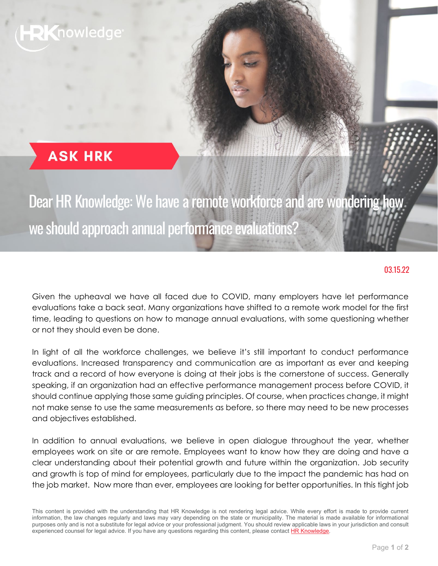## nowledge

### **ASK HRK**

# Dear HR Knowledge: We have a remote workforce and are wondering how we should approach annual performance evaluations

#### 03.15.22

Given the upheaval we have all faced due to COVID, many employers have let performance evaluations take a back seat. Many organizations have shifted to a remote work model for the first time, leading to questions on how to manage annual evaluations, with some questioning whether or not they should even be done.

In light of all the workforce challenges, we believe it's still important to conduct performance evaluations. Increased transparency and communication are as important as ever and keeping track and a record of how everyone is doing at their jobs is the cornerstone of success. Generally speaking, if an organization had an effective performance management process before COVID, it should continue applying those same guiding principles. Of course, when practices change, it might not make sense to use the same measurements as before, so there may need to be new processes and objectives established.

In addition to annual evaluations, we believe in open dialogue throughout the year, whether employees work on site or are remote. Employees want to know how they are doing and have a clear understanding about their potential growth and future within the organization. Job security and growth is top of mind for employees, particularly due to the impact the pandemic has had on the job market. Now more than ever, employees are looking for better opportunities. In this tight job

This content is provided with the understanding that HR Knowledge is not rendering legal advice. While every effort is made to provide current information, the law changes regularly and laws may vary depending on the state or municipality. The material is made available for informational purposes only and is not a substitute for legal advice or your professional judgment. You should review applicable laws in your jurisdiction and consult experienced counsel for legal advice. If you have any questions regarding this content, please contact **HR Knowledge**.